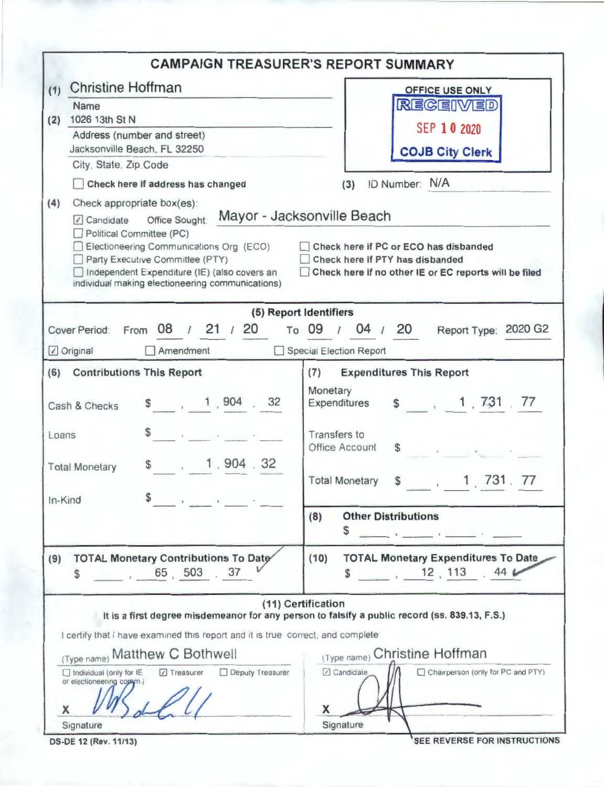|                                                                                                                                                                                                                                                                                | <b>CAMPAIGN TREASURER'S REPORT SUMMARY</b>                                                                                                                      |
|--------------------------------------------------------------------------------------------------------------------------------------------------------------------------------------------------------------------------------------------------------------------------------|-----------------------------------------------------------------------------------------------------------------------------------------------------------------|
| <b>Christine Hoffman</b><br>(1)                                                                                                                                                                                                                                                | <b>OFFICE USE ONLY</b>                                                                                                                                          |
| <b>Name</b><br>1026 13th St N<br>(2)                                                                                                                                                                                                                                           | <b>REGEIVED</b>                                                                                                                                                 |
| Address (number and street)                                                                                                                                                                                                                                                    | SEP 10 2020                                                                                                                                                     |
| Jacksonville Beach, FL 32250                                                                                                                                                                                                                                                   | <b>COJB City Clerk</b>                                                                                                                                          |
| City, State, Zip Code                                                                                                                                                                                                                                                          |                                                                                                                                                                 |
| Check here if address has changed                                                                                                                                                                                                                                              | ID Number: N/A<br>(3)                                                                                                                                           |
| (4)<br>Check appropriate box(es):<br>Office Sought:<br>Candidate<br>Political Committee (PC)<br>Electioneering Communications Org (ECO)<br>Party Executive Committee (PTY)<br>Independent Expenditure (IE) (also covers an<br>individual making electioneering communications) | Mayor - Jacksonville Beach<br>Check here if PC or ECO has disbanded<br>Check here if PTY has disbanded<br>Check here if no other IE or EC reports will be filed |
|                                                                                                                                                                                                                                                                                | (5) Report Identifiers                                                                                                                                          |
| Cover Period: From 08 / 21 / 20<br>Original<br>$\Box$ Amendment                                                                                                                                                                                                                | 04 / 20<br>Report Type: 2020 G2<br>To 09 /<br>Special Election Report                                                                                           |
| (6) Contributions This Report                                                                                                                                                                                                                                                  | <b>Expenditures This Report</b><br>(7)                                                                                                                          |
| \$ 1, 904 . 32<br>Cash & Checks                                                                                                                                                                                                                                                | Monetary<br>\$1, 731, 77<br>Expenditures                                                                                                                        |
| $\frac{1}{2}$<br>Loans                                                                                                                                                                                                                                                         | Transfers to<br><b>Office Account</b><br>$\mathbf S$                                                                                                            |
| \$ 1, 904.32<br><b>Total Monetary</b>                                                                                                                                                                                                                                          | 1, 731, 77<br><b>Total Monetary</b><br>\$                                                                                                                       |
| \$<br>In-Kind<br>$\mathbf{y} = \mathbf{y}$ and $\mathbf{y} = \mathbf{y}$ and $\mathbf{y} = \mathbf{y}$                                                                                                                                                                         | <b>Other Distributions</b><br>(8)<br>\$                                                                                                                         |
| <b>TOTAL Monetary Contributions To Date</b><br>(9)<br>65, 503<br>37<br>\$                                                                                                                                                                                                      | <b>TOTAL Monetary Expenditures To Date</b><br>(10)<br>12, 113<br>44 <sub>6</sub><br>S                                                                           |
| I certify that I have examined this report and it is true correct, and complete                                                                                                                                                                                                | (11) Certification<br>It is a first degree misdemeanor for any person to falsify a public record (ss. 839.13, F.S.)                                             |
| (Type name) Matthew C Bothwell                                                                                                                                                                                                                                                 | (Type name) Christine Hoffman                                                                                                                                   |
| Deputy Treasurer<br>Individual (only for IE<br>□ Treasurer<br>or electioneering comm.)<br>X                                                                                                                                                                                    | <b>7</b> Candidate<br>Chairperson (only for PC and PTY)<br>X                                                                                                    |
| Signature                                                                                                                                                                                                                                                                      | Signature                                                                                                                                                       |
| <b>DS-DE 12 (Rev. 11/13)</b>                                                                                                                                                                                                                                                   | SEE REVERSE FOR INSTRUCTIONS                                                                                                                                    |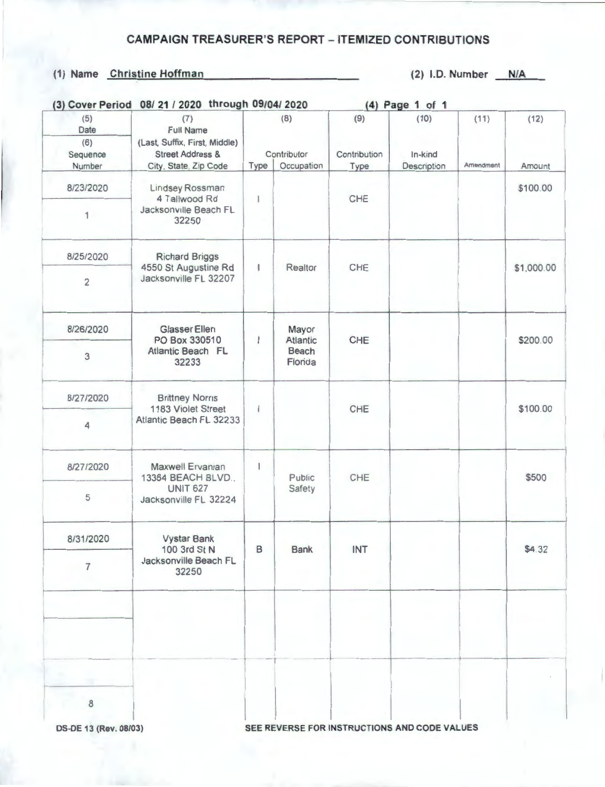## **CAMPAIGN** TREASURER'S REPORT - ITEMIZED CONTRIBUTIONS

## (1) Name Christine Hoffman (2) I.D. Number **N/A**

| (3) Cover Period                         | 08/21 / 2020 through 09/04/2020                                                         |                    |                          |                     | (4) Page 1 of 1 |                   |            |
|------------------------------------------|-----------------------------------------------------------------------------------------|--------------------|--------------------------|---------------------|-----------------|-------------------|------------|
| (5)<br>Date<br>(6)<br>Sequence<br>Number | (7)<br><b>Full Name</b><br>(Last, Suffix, First, Middle)<br><b>Street Address &amp;</b> | (8)<br>Contributor |                          | (9)<br>Contribution | (10)<br>In-kind | (11)<br>Amendment | (12)       |
|                                          | City, State, Zip Code                                                                   | Type               | Occupation               | Type                | Description     |                   | Amount     |
| 8/23/2020                                | Lindsey Rossman<br>4 Tallwood Rd<br>Jacksonville Beach FL<br>32250                      | 1                  |                          | CHE                 |                 |                   | \$100.00   |
| 1                                        |                                                                                         |                    |                          |                     |                 |                   |            |
| 8/25/2020                                | <b>Richard Briggs</b><br>4550 St Augustine Rd<br>Jacksonville FL 32207                  |                    |                          | CHE                 |                 |                   | \$1,000.00 |
| $\overline{c}$                           |                                                                                         | J                  | Realtor                  |                     |                 |                   |            |
| 8/26/2020                                | <b>Glasser Ellen</b><br>PO Box 330510<br><b>Atlantic Beach FL</b><br>32233              | ı                  | Mayor<br><b>Atlantic</b> | CHE                 |                 |                   | \$200.00   |
| 3                                        |                                                                                         |                    | Beach<br>Florida         |                     |                 |                   |            |
| 8/27/2020                                | <b>Brittney Norris</b><br>1183 Violet Street<br>Atlantic Beach FL 32233                 | I                  |                          | CHE                 |                 |                   | \$100.00   |
| 4                                        |                                                                                         |                    |                          |                     |                 |                   |            |
| 8/27/2020                                | Maxwell Ervanian<br>13364 BEACH BLVD.,<br><b>UNIT 627</b><br>Jacksonville FL 32224      | 1                  | Public                   | CHE                 |                 |                   | \$500      |
| 5                                        |                                                                                         |                    | Safety                   |                     |                 |                   |            |
| 8/31/2020                                | <b>Vystar Bank</b><br>100 3rd St N<br>Jacksonville Beach FL<br>32250                    | B                  | <b>Bank</b>              | INT                 |                 |                   | \$4.32     |
| $\overline{7}$                           |                                                                                         |                    |                          |                     |                 |                   |            |
|                                          |                                                                                         |                    |                          |                     |                 |                   |            |
|                                          |                                                                                         |                    |                          |                     |                 |                   |            |
| $\bf8$                                   |                                                                                         |                    |                          |                     |                 |                   |            |
|                                          |                                                                                         |                    |                          |                     |                 |                   |            |

**OS-DE 13 (Rev. 08/03) SEE REVERSE FOR INSTRUCTIONS AND CODE VALUES**